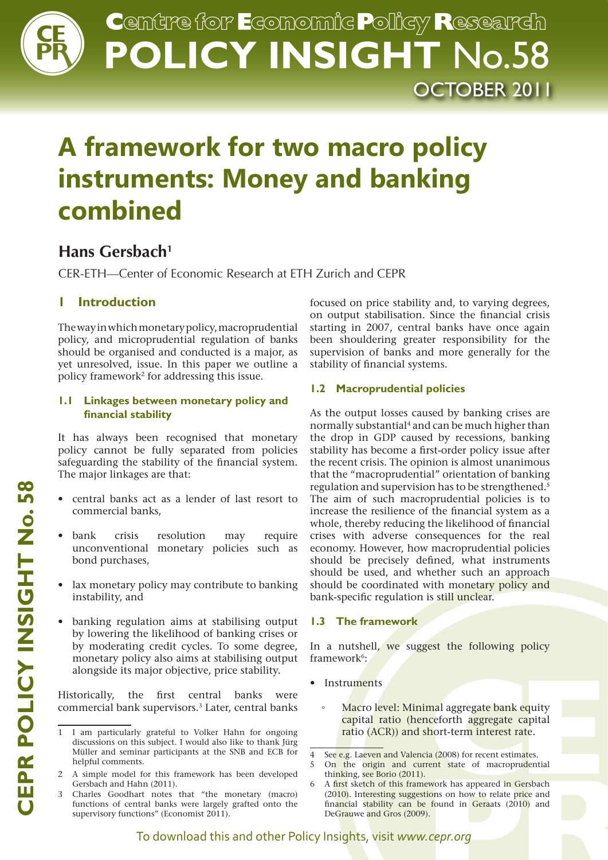

## **Centre for Economic Policy Research**<br> **POLICY INSIGHT** No.58 Centre for Economic Policy Research OCTOBER 2011

# **A framework for two macro policy instruments: Money and banking combined**

## **Hans Gersbach1**

CER-ETH—Center of Economic Research at ETH Zurich and CEPR

## **1 Introduction**

The way in which monetary policy, macroprudential policy, and microprudential regulation of banks should be organised and conducted is a major, as yet unresolved, issue. In this paper we outline a policy framework2 for addressing this issue.

## **1.1 Linkages between monetary policy and financial stability**

It has always been recognised that monetary policy cannot be fully separated from policies safeguarding the stability of the financial system. The major linkages are that:

- central banks act as a lender of last resort to commercial banks,
- bank crisis resolution may require unconventional monetary policies such as bond purchases,
- lax monetary policy may contribute to banking instability, and
- banking regulation aims at stabilising output by lowering the likelihood of banking crises or by moderating credit cycles. To some degree, monetary policy also aims at stabilising output alongside its major objective, price stability.

Historically, the first central banks were commercial bank supervisors.3 Later, central banks focused on price stability and, to varying degrees, on output stabilisation. Since the financial crisis starting in 2007, central banks have once again been shouldering greater responsibility for the supervision of banks and more generally for the stability of financial systems.

## **1.2 Macroprudential policies**

As the output losses caused by banking crises are normally substantial<sup>4</sup> and can be much higher than the drop in GDP caused by recessions, banking stability has become a first-order policy issue after the recent crisis. The opinion is almost unanimous that the "macroprudential" orientation of banking regulation and supervision has to be strengthened.<sup>5</sup> The aim of such macroprudential policies is to increase the resilience of the financial system as a whole, thereby reducing the likelihood of financial crises with adverse consequences for the real economy. However, how macroprudential policies should be precisely defined, what instruments should be used, and whether such an approach should be coordinated with monetary policy and bank-specific regulation is still unclear.

## **1.3 The framework**

In a nutshell, we suggest the following policy framework<sup>6</sup>:

- Instruments
	- Macro level: Minimal aggregate bank equity capital ratio (henceforth aggregate capital ratio (ACR)) and short-term interest rate.

<sup>1</sup> I am particularly grateful to Volker Hahn for ongoing discussions on this subject. I would also like to thank Jürg Müller and seminar participants at the SNB and ECB for helpful comments.

<sup>2</sup> A simple model for this framework has been developed Gersbach and Hahn (2011).

<sup>3</sup> Charles Goodhart notes that "the monetary (macro) functions of central banks were largely grafted onto the supervisory functions" (Economist 2011).

See e.g. Laeven and Valencia (2008) for recent estimates.

<sup>5</sup> On the origin and current state of macroprudential thinking, see Borio (2011).

<sup>6</sup> A first sketch of this framework has appeared in Gersbach (2010). Interesting suggestions on how to relate price and financial stability can be found in Geraats (2010) and DeGrauwe and Gros (2009).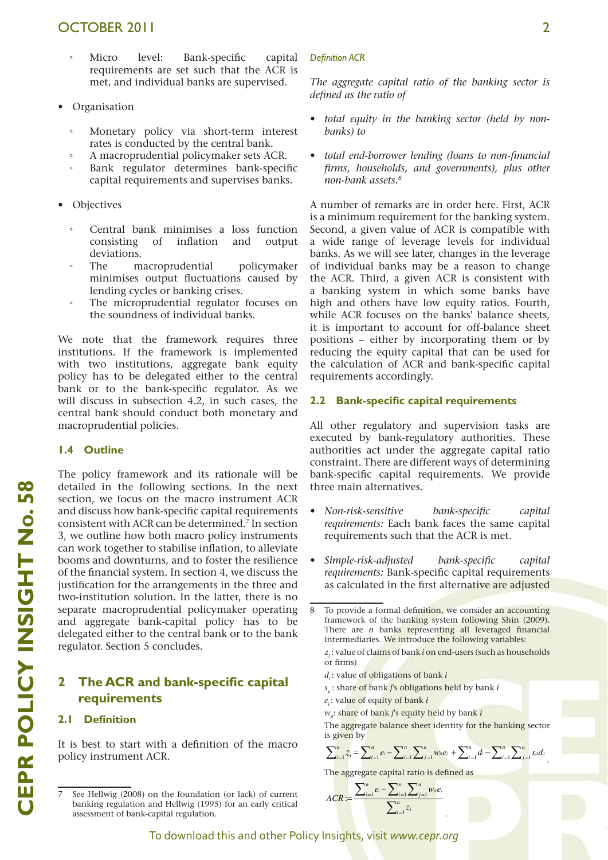## OCTOBER 2011 2

- Micro level: Bank-specific capital requirements are set such that the ACR is met, and individual banks are supervised.
- Organisation
	- Monetary policy via short-term interest rates is conducted by the central bank.
	- A macroprudential policymaker sets ACR.
	- Bank regulator determines bank-specific capital requirements and supervises banks.
- Objectives
	- Central bank minimises a loss function consisting of inflation and output deviations.
	- The macroprudential policymaker minimises output fluctuations caused by lending cycles or banking crises.
	- The microprudential regulator focuses on the soundness of individual banks.

We note that the framework requires three institutions. If the framework is implemented with two institutions, aggregate bank equity policy has to be delegated either to the central bank or to the bank-specific regulator. As we will discuss in subsection 4.2, in such cases, the central bank should conduct both monetary and macroprudential policies.

#### **1.4 Outline**

The policy framework and its rationale will be detailed in the following sections. In the next section, we focus on the macro instrument ACR and discuss how bank-specific capital requirements consistent with ACR can be determined.7 In section 3, we outline how both macro policy instruments can work together to stabilise inflation, to alleviate booms and downturns, and to foster the resilience of the financial system. In section 4, we discuss the justification for the arrangements in the three and two-institution solution. In the latter, there is no separate macroprudential policymaker operating and aggregate bank-capital policy has to be delegated either to the central bank or to the bank regulator. Section 5 concludes.

## **2 The ACR and bank-specific capital requirements**

#### **2.1 Definition**

**CEPR POLICY INSIGHT No. 58**

CEPR POLICY INSIGHT No.58

It is best to start with a definition of the macro policy instrument ACR.

#### *Definition ACR*

*The aggregate capital ratio of the banking sector is defined as the ratio of*

- *• total equity in the banking sector (held by nonbanks) to*
- *• total end-borrower lending (loans to non-financial firms, households, and governments), plus other non-bank assets.8*

A number of remarks are in order here. First, ACR is a minimum requirement for the banking system. Second, a given value of ACR is compatible with a wide range of leverage levels for individual banks. As we will see later, changes in the leverage of individual banks may be a reason to change the ACR. Third, a given ACR is consistent with a banking system in which some banks have high and others have low equity ratios. Fourth, while ACR focuses on the banks' balance sheets, it is important to account for off-balance sheet positions – either by incorporating them or by reducing the equity capital that can be used for the calculation of ACR and bank-specific capital requirements accordingly.

#### **2.2 Bank-specific capital requirements**

All other regulatory and supervision tasks are executed by bank-regulatory authorities. These authorities act under the aggregate capital ratio constraint. There are different ways of determining bank-specific capital requirements. We provide three main alternatives.

- *• Non-risk-sensitive bank-specific capital requirements:* Each bank faces the same capital requirements such that the ACR is met.
- *• Simple-risk-adjusted bank-specific capital requirements:* Bank-specific capital requirements as calculated in the first alternative are adjusted

*sji* : share of bank *j*'s obligations held by bank *i*

*ei* : value of equity of bank *i*

*wji*: share of bank *j*'s equity held by bank *i*

The aggregate balance sheet identity for the banking sector is given by

 $\sum_{i=1}^{n} Z_i = \sum_{i=1}^{n} e_i - \sum_{i=1}^{n} \sum_{j=1}^{n} w_i e_j + \sum_{i=1}^{n} d_i - \sum_{i=1}^{n} \sum_{j=1}^{n} \sum_{j=1}^{n}$ *n j n i n i n j n i*  $\sum_{i=1}^{n} Z_i = \sum_{i=1}^{n} e_i - \sum_{i=1}^{n} \sum_{j=1}^{n} w_{ji} e_j + \sum_{i=1}^{n} d_i - \sum_{i=1}^{n} \sum_{j=1}^{n} s_{ji} d_j$ 

.

The aggregate capital ratio is defined as

$$
ACR := \frac{\sum_{i=1}^{n} e_i - \sum_{i=1}^{n} \sum_{j=1}^{n} w_{ji} e_j}{\sum_{i=1}^{n} z_i}
$$

#### To download this and other Policy Insights, visit *www.cepr.org*

<sup>7</sup> See Hellwig (2008) on the foundation (or lack) of current banking regulation and Hellwig (1995) for an early critical assessment of bank-capital regulation.

<sup>8</sup> To provide a formal definition, we consider an accounting framework of the banking system following Shin (2009). There are *n* banks representing all leveraged financial intermediaries. We introduce the following variables:

*zi* : value of claims of bank *i* on end-users (such as households or firms)

*di* : value of obligations of bank *i*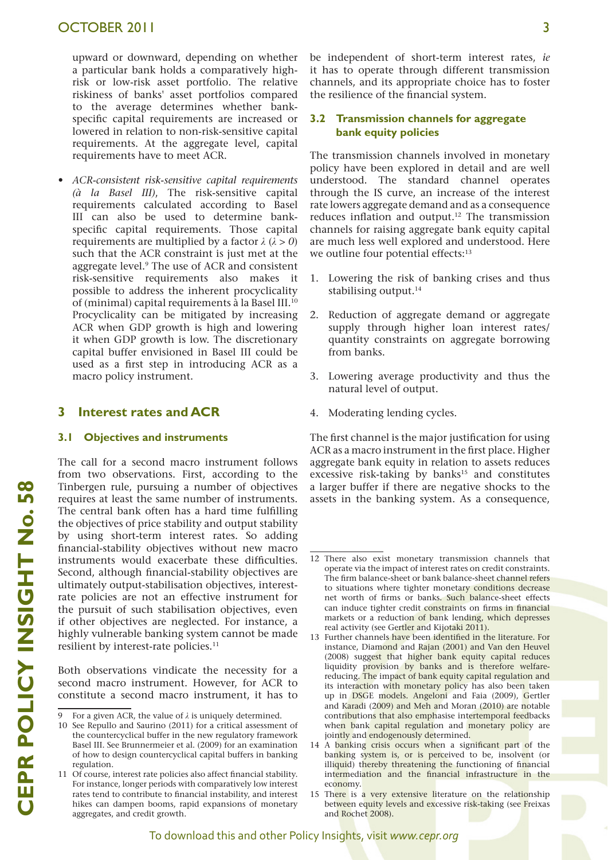upward or downward, depending on whether a particular bank holds a comparatively highrisk or low-risk asset portfolio. The relative riskiness of banks' asset portfolios compared to the average determines whether bankspecific capital requirements are increased or lowered in relation to non-risk-sensitive capital requirements. At the aggregate level, capital requirements have to meet ACR.

*• ACR-consistent risk-sensitive capital requirements (à la Basel III)*, The risk-sensitive capital requirements calculated according to Basel III can also be used to determine bankspecific capital requirements. Those capital requirements are multiplied by a factor *λ* (*λ > 0*) such that the ACR constraint is just met at the aggregate level.9 The use of ACR and consistent risk-sensitive requirements also makes it possible to address the inherent procyclicality of (minimal) capital requirements à la Basel III.10 Procyclicality can be mitigated by increasing ACR when GDP growth is high and lowering it when GDP growth is low. The discretionary capital buffer envisioned in Basel III could be used as a first step in introducing ACR as a macro policy instrument.

## **3 Interest rates and ACR**

#### **3.1 Objectives and instruments**

The call for a second macro instrument follows from two observations. First, according to the Tinbergen rule, pursuing a number of objectives requires at least the same number of instruments. The central bank often has a hard time fulfilling the objectives of price stability and output stability by using short-term interest rates. So adding financial-stability objectives without new macro instruments would exacerbate these difficulties. Second, although financial-stability objectives are ultimately output-stabilisation objectives, interestrate policies are not an effective instrument for the pursuit of such stabilisation objectives, even if other objectives are neglected. For instance, a highly vulnerable banking system cannot be made resilient by interest-rate policies.<sup>11</sup>

Both observations vindicate the necessity for a second macro instrument. However, for ACR to constitute a second macro instrument, it has to

be independent of short-term interest rates, *ie* it has to operate through different transmission channels, and its appropriate choice has to foster the resilience of the financial system.

## **3.2 Transmission channels for aggregate bank equity policies**

The transmission channels involved in monetary policy have been explored in detail and are well understood. The standard channel operates through the IS curve, an increase of the interest rate lowers aggregate demand and as a consequence reduces inflation and output.<sup>12</sup> The transmission channels for raising aggregate bank equity capital are much less well explored and understood. Here we outline four potential effects:<sup>13</sup>

- 1. Lowering the risk of banking crises and thus stabilising output.<sup>14</sup>
- 2. Reduction of aggregate demand or aggregate supply through higher loan interest rates/ quantity constraints on aggregate borrowing from banks.
- 3. Lowering average productivity and thus the natural level of output.
- 4. Moderating lending cycles.

The first channel is the major justification for using ACR as a macro instrument in the first place. Higher aggregate bank equity in relation to assets reduces excessive risk-taking by banks<sup>15</sup> and constitutes a larger buffer if there are negative shocks to the assets in the banking system. As a consequence,

<sup>9</sup> For a given ACR, the value of *λ* is uniquely determined.

<sup>10</sup> See Repullo and Saurino (2011) for a critical assessment of the countercyclical buffer in the new regulatory framework Basel III. See Brunnermeier et al. (2009) for an examination of how to design countercyclical capital buffers in banking regulation.

<sup>11</sup> Of course, interest rate policies also affect financial stability. For instance, longer periods with comparatively low interest rates tend to contribute to financial instability, and interest hikes can dampen booms, rapid expansions of monetary aggregates, and credit growth.

<sup>12</sup> There also exist monetary transmission channels that operate via the impact of interest rates on credit constraints. The firm balance-sheet or bank balance-sheet channel refers to situations where tighter monetary conditions decrease net worth of firms or banks. Such balance-sheet effects can induce tighter credit constraints on firms in financial markets or a reduction of bank lending, which depresses real activity (see Gertler and Kijotaki 2011).

<sup>13</sup> Further channels have been identified in the literature. For instance, Diamond and Rajan (2001) and Van den Heuvel (2008) suggest that higher bank equity capital reduces liquidity provision by banks and is therefore welfarereducing. The impact of bank equity capital regulation and its interaction with monetary policy has also been taken up in DSGE models. Angeloni and Faia (2009), Gertler and Karadi (2009) and Meh and Moran (2010) are notable contributions that also emphasise intertemporal feedbacks when bank capital regulation and monetary policy are jointly and endogenously determined.

<sup>14</sup> A banking crisis occurs when a significant part of the banking system is, or is perceived to be, insolvent (or illiquid) thereby threatening the functioning of financial intermediation and the financial infrastructure in the economy.

<sup>15</sup> There is a very extensive literature on the relationship between equity levels and excessive risk-taking (see Freixas and Rochet 2008).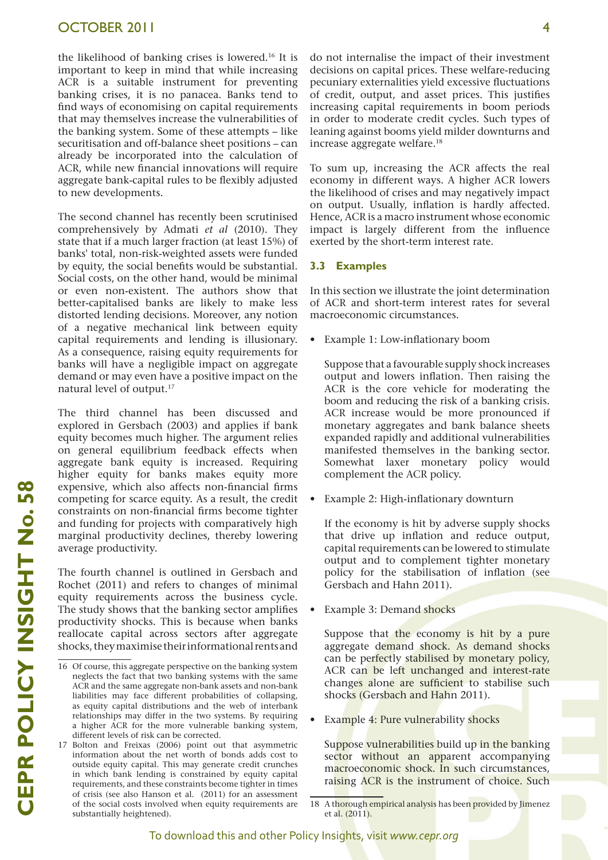the likelihood of banking crises is lowered.16 It is important to keep in mind that while increasing ACR is a suitable instrument for preventing banking crises, it is no panacea. Banks tend to find ways of economising on capital requirements that may themselves increase the vulnerabilities of the banking system. Some of these attempts – like securitisation and off-balance sheet positions – can already be incorporated into the calculation of ACR, while new financial innovations will require aggregate bank-capital rules to be flexibly adjusted to new developments.

The second channel has recently been scrutinised comprehensively by Admati *et al* (2010). They state that if a much larger fraction (at least 15%) of banks' total, non-risk-weighted assets were funded by equity, the social benefits would be substantial. Social costs, on the other hand, would be minimal or even non-existent. The authors show that better-capitalised banks are likely to make less distorted lending decisions. Moreover, any notion of a negative mechanical link between equity capital requirements and lending is illusionary. As a consequence, raising equity requirements for banks will have a negligible impact on aggregate demand or may even have a positive impact on the natural level of output.17

The third channel has been discussed and explored in Gersbach (2003) and applies if bank equity becomes much higher. The argument relies on general equilibrium feedback effects when aggregate bank equity is increased. Requiring higher equity for banks makes equity more expensive, which also affects non-financial firms competing for scarce equity. As a result, the credit constraints on non-financial firms become tighter and funding for projects with comparatively high marginal productivity declines, thereby lowering average productivity.

The fourth channel is outlined in Gersbach and Rochet (2011) and refers to changes of minimal equity requirements across the business cycle. The study shows that the banking sector amplifies productivity shocks. This is because when banks reallocate capital across sectors after aggregate shocks, they maximise their informational rents and do not internalise the impact of their investment decisions on capital prices. These welfare-reducing pecuniary externalities yield excessive fluctuations of credit, output, and asset prices. This justifies increasing capital requirements in boom periods in order to moderate credit cycles. Such types of leaning against booms yield milder downturns and increase aggregate welfare.<sup>18</sup>

To sum up, increasing the ACR affects the real economy in different ways. A higher ACR lowers the likelihood of crises and may negatively impact on output. Usually, inflation is hardly affected. Hence, ACR is a macro instrument whose economic impact is largely different from the influence exerted by the short-term interest rate.

#### **3.3 Examples**

In this section we illustrate the joint determination of ACR and short-term interest rates for several macroeconomic circumstances.

Example 1: Low-inflationary boom

Suppose that a favourable supply shock increases output and lowers inflation. Then raising the ACR is the core vehicle for moderating the boom and reducing the risk of a banking crisis. ACR increase would be more pronounced if monetary aggregates and bank balance sheets expanded rapidly and additional vulnerabilities manifested themselves in the banking sector. Somewhat laxer monetary policy would complement the ACR policy.

• Example 2: High-inflationary downturn

If the economy is hit by adverse supply shocks that drive up inflation and reduce output, capital requirements can be lowered to stimulate output and to complement tighter monetary policy for the stabilisation of inflation (see Gersbach and Hahn 2011).

• Example 3: Demand shocks

Suppose that the economy is hit by a pure aggregate demand shock. As demand shocks can be perfectly stabilised by monetary policy, ACR can be left unchanged and interest-rate changes alone are sufficient to stabilise such shocks (Gersbach and Hahn 2011).

Example 4: Pure vulnerability shocks

Suppose vulnerabilities build up in the banking sector without an apparent accompanying macroeconomic shock. In such circumstances, raising ACR is the instrument of choice. Such

To download this and other Policy Insights, visit *www.cepr.org*

<sup>16</sup> Of course, this aggregate perspective on the banking system neglects the fact that two banking systems with the same ACR and the same aggregate non-bank assets and non-bank liabilities may face different probabilities of collapsing, as equity capital distributions and the web of interbank relationships may differ in the two systems. By requiring a higher ACR for the more vulnerable banking system, different levels of risk can be corrected.

<sup>17</sup> Bolton and Freixas (2006) point out that asymmetric information about the net worth of bonds adds cost to outside equity capital. This may generate credit crunches in which bank lending is constrained by equity capital requirements, and these constraints become tighter in times of crisis (see also Hanson et al. (2011) for an assessment of the social costs involved when equity requirements are substantially heightened).

<sup>18</sup> A thorough empirical analysis has been provided by Jimenez et al. (2011).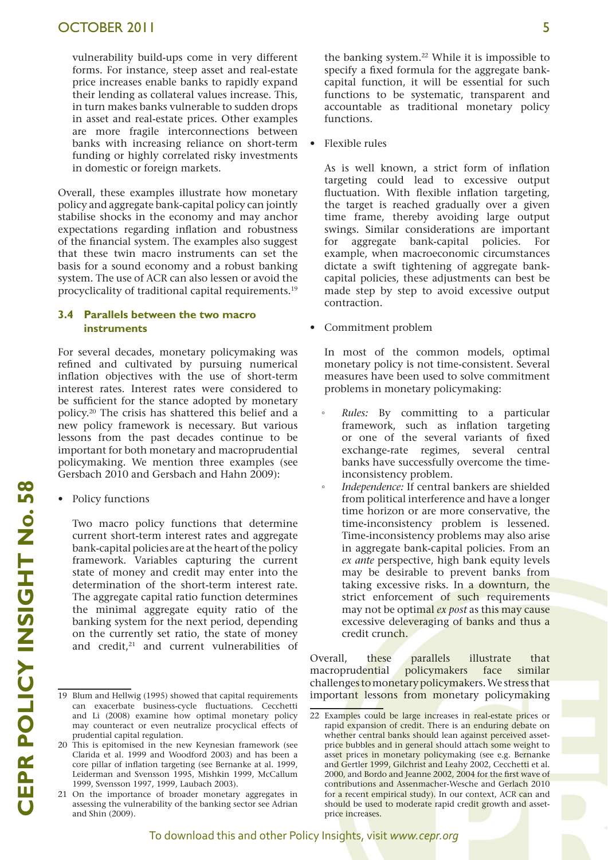vulnerability build-ups come in very different forms. For instance, steep asset and real-estate price increases enable banks to rapidly expand their lending as collateral values increase. This, in turn makes banks vulnerable to sudden drops in asset and real-estate prices. Other examples are more fragile interconnections between banks with increasing reliance on short-term funding or highly correlated risky investments in domestic or foreign markets.

Overall, these examples illustrate how monetary policy and aggregate bank-capital policy can jointly stabilise shocks in the economy and may anchor expectations regarding inflation and robustness of the financial system. The examples also suggest that these twin macro instruments can set the basis for a sound economy and a robust banking system. The use of ACR can also lessen or avoid the procyclicality of traditional capital requirements.<sup>19</sup>

### **3.4 Parallels between the two macro instruments**

For several decades, monetary policymaking was refined and cultivated by pursuing numerical inflation objectives with the use of short-term interest rates. Interest rates were considered to be sufficient for the stance adopted by monetary policy.20 The crisis has shattered this belief and a new policy framework is necessary. But various lessons from the past decades continue to be important for both monetary and macroprudential policymaking. We mention three examples (see Gersbach 2010 and Gersbach and Hahn 2009):

• Policy functions

Two macro policy functions that determine current short-term interest rates and aggregate bank-capital policies are at the heart of the policy framework. Variables capturing the current state of money and credit may enter into the determination of the short-term interest rate. The aggregate capital ratio function determines the minimal aggregate equity ratio of the banking system for the next period, depending on the currently set ratio, the state of money and credit,<sup>21</sup> and current vulnerabilities of the banking system.22 While it is impossible to specify a fixed formula for the aggregate bankcapital function, it will be essential for such functions to be systematic, transparent and accountable as traditional monetary policy functions.

• Flexible rules

As is well known, a strict form of inflation targeting could lead to excessive output fluctuation. With flexible inflation targeting, the target is reached gradually over a given time frame, thereby avoiding large output swings. Similar considerations are important for aggregate bank-capital policies. For example, when macroeconomic circumstances dictate a swift tightening of aggregate bankcapital policies, these adjustments can best be made step by step to avoid excessive output contraction.

• Commitment problem

In most of the common models, optimal monetary policy is not time-consistent. Several measures have been used to solve commitment problems in monetary policymaking:

- *Rules:* By committing to a particular framework, such as inflation targeting or one of the several variants of fixed exchange-rate regimes, several central banks have successfully overcome the timeinconsistency problem.
- Independence: If central bankers are shielded from political interference and have a longer time horizon or are more conservative, the time-inconsistency problem is lessened. Time-inconsistency problems may also arise in aggregate bank-capital policies. From an *ex ante* perspective, high bank equity levels may be desirable to prevent banks from taking excessive risks. In a downturn, the strict enforcement of such requirements may not be optimal *ex post* as this may cause excessive deleveraging of banks and thus a credit crunch.

Overall, these parallels illustrate that macroprudential policymakers face similar challenges to monetary policymakers. We stress that important lessons from monetary policymaking

<sup>19</sup> Blum and Hellwig (1995) showed that capital requirements can exacerbate business-cycle fluctuations. Cecchetti and Li (2008) examine how optimal monetary policy may counteract or even neutralize procyclical effects of prudential capital regulation.

<sup>20</sup> This is epitomised in the new Keynesian framework (see Clarida et al. 1999 and Woodford 2003) and has been a core pillar of inflation targeting (see Bernanke at al. 1999, Leiderman and Svensson 1995, Mishkin 1999, McCallum 1999, Svensson 1997, 1999, Laubach 2003).

<sup>21</sup> On the importance of broader monetary aggregates in assessing the vulnerability of the banking sector see Adrian and Shin (2009).

<sup>22</sup> Examples could be large increases in real-estate prices or rapid expansion of credit. There is an enduring debate on whether central banks should lean against perceived assetprice bubbles and in general should attach some weight to asset prices in monetary policymaking (see e.g. Bernanke and Gertler 1999, Gilchrist and Leahy 2002, Cecchetti et al. 2000, and Bordo and Jeanne 2002, 2004 for the first wave of contributions and Assenmacher-Wesche and Gerlach 2010 for a recent empirical study). In our context, ACR can and should be used to moderate rapid credit growth and assetprice increases.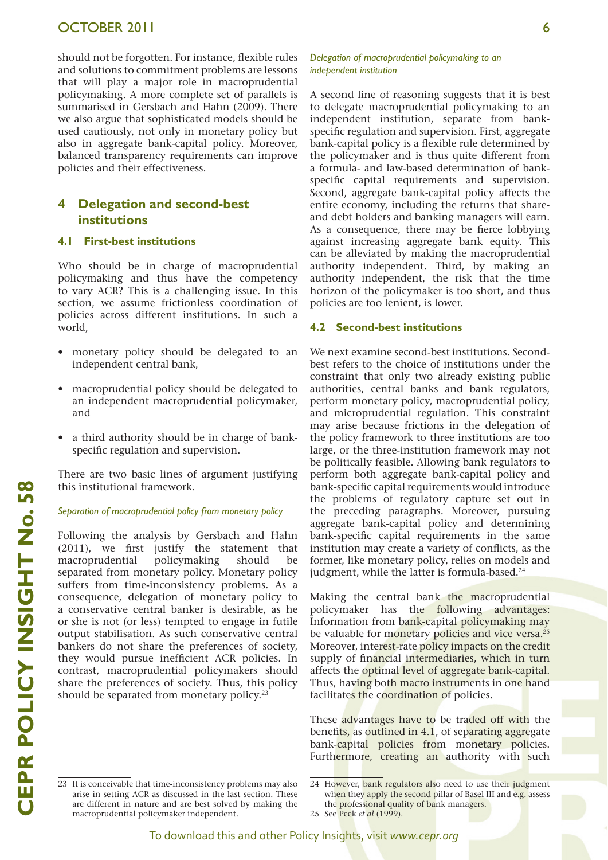## OCTOBER 2011 6

should not be forgotten. For instance, flexible rules and solutions to commitment problems are lessons that will play a major role in macroprudential policymaking. A more complete set of parallels is summarised in Gersbach and Hahn (2009). There we also argue that sophisticated models should be used cautiously, not only in monetary policy but also in aggregate bank-capital policy. Moreover, balanced transparency requirements can improve policies and their effectiveness.

## **4 Delegation and second-best institutions**

#### **4.1 First-best institutions**

Who should be in charge of macroprudential policymaking and thus have the competency to vary ACR? This is a challenging issue. In this section, we assume frictionless coordination of policies across different institutions. In such a world,

- monetary policy should be delegated to an independent central bank,
- macroprudential policy should be delegated to an independent macroprudential policymaker, and
- a third authority should be in charge of bankspecific regulation and supervision.

There are two basic lines of argument justifying this institutional framework.

#### *Separation of macroprudential policy from monetary policy*

Following the analysis by Gersbach and Hahn (2011), we first justify the statement that macroprudential policymaking should be separated from monetary policy. Monetary policy suffers from time-inconsistency problems. As a consequence, delegation of monetary policy to a conservative central banker is desirable, as he or she is not (or less) tempted to engage in futile output stabilisation. As such conservative central bankers do not share the preferences of society, they would pursue inefficient ACR policies. In contrast, macroprudential policymakers should share the preferences of society. Thus, this policy should be separated from monetary policy.<sup>23</sup>

*Delegation of macroprudential policymaking to an independent institution*

A second line of reasoning suggests that it is best to delegate macroprudential policymaking to an independent institution, separate from bankspecific regulation and supervision. First, aggregate bank-capital policy is a flexible rule determined by the policymaker and is thus quite different from a formula- and law-based determination of bankspecific capital requirements and supervision. Second, aggregate bank-capital policy affects the entire economy, including the returns that shareand debt holders and banking managers will earn. As a consequence, there may be fierce lobbying against increasing aggregate bank equity. This can be alleviated by making the macroprudential authority independent. Third, by making an authority independent, the risk that the time horizon of the policymaker is too short, and thus policies are too lenient, is lower.

#### **4.2 Second-best institutions**

We next examine second-best institutions. Secondbest refers to the choice of institutions under the constraint that only two already existing public authorities, central banks and bank regulators, perform monetary policy, macroprudential policy, and microprudential regulation. This constraint may arise because frictions in the delegation of the policy framework to three institutions are too large, or the three-institution framework may not be politically feasible. Allowing bank regulators to perform both aggregate bank-capital policy and bank-specific capital requirements would introduce the problems of regulatory capture set out in the preceding paragraphs. Moreover, pursuing aggregate bank-capital policy and determining bank-specific capital requirements in the same institution may create a variety of conflicts, as the former, like monetary policy, relies on models and judgment, while the latter is formula-based.<sup>24</sup>

Making the central bank the macroprudential policymaker has the following advantages: Information from bank-capital policymaking may be valuable for monetary policies and vice versa.<sup>25</sup> Moreover, interest-rate policy impacts on the credit supply of financial intermediaries, which in turn affects the optimal level of aggregate bank-capital. Thus, having both macro instruments in one hand facilitates the coordination of policies.

These advantages have to be traded off with the benefits, as outlined in 4.1, of separating aggregate bank-capital policies from monetary policies. Furthermore, creating an authority with such

<sup>23</sup> It is conceivable that time-inconsistency problems may also arise in setting ACR as discussed in the last section. These are different in nature and are best solved by making the macroprudential policymaker independent.

<sup>24</sup> However, bank regulators also need to use their judgment when they apply the second pillar of Basel III and e.g. assess the professional quality of bank managers.

<sup>25</sup> See Peek *et al* (1999).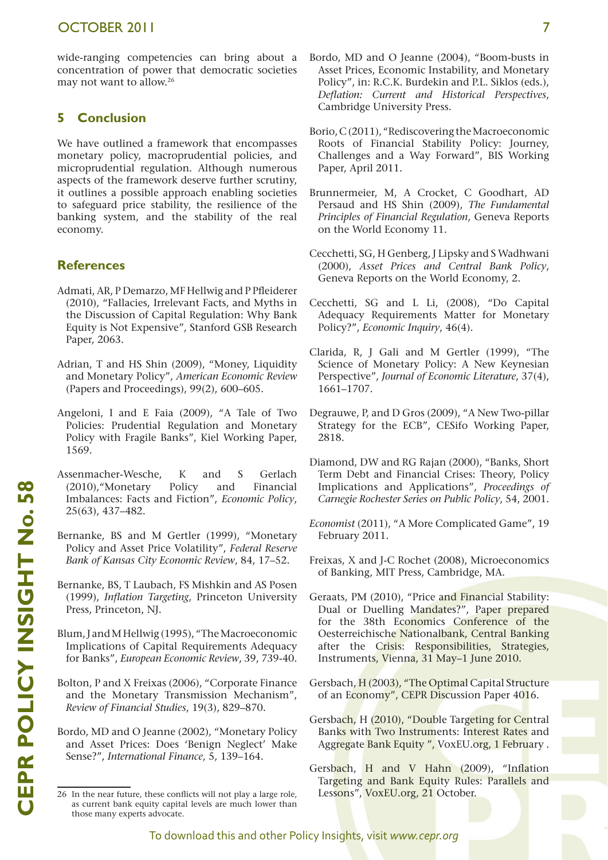wide-ranging competencies can bring about a concentration of power that democratic societies may not want to allow.26

## **5 Conclusion**

We have outlined a framework that encompasses monetary policy, macroprudential policies, and microprudential regulation. Although numerous aspects of the framework deserve further scrutiny, it outlines a possible approach enabling societies to safeguard price stability, the resilience of the banking system, and the stability of the real economy.

## **References**

- Admati, AR, P Demarzo, MF Hellwig and P Pfleiderer (2010), "Fallacies, Irrelevant Facts, and Myths in the Discussion of Capital Regulation: Why Bank Equity is Not Expensive", Stanford GSB Research Paper, 2063.
- Adrian, T and HS Shin (2009), "Money, Liquidity and Monetary Policy", *American Economic Review*  (Papers and Proceedings), 99(2), 600–605.
- Angeloni, I and E Faia (2009), "A Tale of Two Policies: Prudential Regulation and Monetary Policy with Fragile Banks", Kiel Working Paper, 1569.
- Assenmacher-Wesche, K and S Gerlach (2010),"Monetary Policy and Financial Imbalances: Facts and Fiction", *Economic Policy*, 25(63), 437–482.
- Bernanke, BS and M Gertler (1999), "Monetary Policy and Asset Price Volatility", *Federal Reserve Bank of Kansas City Economic Review*, 84, 17–52.
- Bernanke, BS, T Laubach, FS Mishkin and AS Posen (1999), *Inflation Targeting*, Princeton University Press, Princeton, NJ.
- Blum, J and M Hellwig (1995), "The Macroeconomic Implications of Capital Requirements Adequacy for Banks", *European Economic Review*, 39, 739-40.
- Bolton, P and X Freixas (2006), "Corporate Finance and the Monetary Transmission Mechanism", *Review of Financial Studies*, 19(3), 829–870.
- Bordo, MD and O Jeanne (2002), "Monetary Policy and Asset Prices: Does 'Benign Neglect' Make Sense?", *International Finance*, 5, 139–164.
- Borio, C (2011), "Rediscovering the Macroeconomic Roots of Financial Stability Policy: Journey, Challenges and a Way Forward", BIS Working Paper, April 2011.
- Brunnermeier, M, A Crocket, C Goodhart, AD Persaud and HS Shin (2009), *The Fundamental Principles of Financial Regulation*, Geneva Reports on the World Economy 11.
- Cecchetti, SG, H Genberg, J Lipsky and S Wadhwani (2000), *Asset Prices and Central Bank Policy*, Geneva Reports on the World Economy, 2.
- Cecchetti, SG and L Li, (2008), "Do Capital Adequacy Requirements Matter for Monetary Policy?", *Economic Inquiry*, 46(4).
- Clarida, R, J Gali and M Gertler (1999), "The Science of Monetary Policy: A New Keynesian Perspective", *Journal of Economic Literature*, 37(4), 1661–1707.
- Degrauwe, P, and D Gros (2009), "A New Two-pillar Strategy for the ECB", CESifo Working Paper, 2818.
- Diamond, DW and RG Rajan (2000), "Banks, Short Term Debt and Financial Crises: Theory, Policy Implications and Applications", *Proceedings of Carnegie Rochester Series on Public Policy*, 54, 2001.
- *Economist* (2011), "A More Complicated Game", 19 February 2011.
- Freixas, X and J-C Rochet (2008), Microeconomics of Banking, MIT Press, Cambridge, MA.
- Geraats, PM (2010), "Price and Financial Stability: Dual or Duelling Mandates?", Paper prepared for the 38th Economics Conference of the Oesterreichische Nationalbank, Central Banking after the Crisis: Responsibilities, Strategies, Instruments, Vienna, 31 May–1 June 2010.
- Gersbach, H (2003), "The Optimal Capital Structure of an Economy", CEPR Discussion Paper 4016.
- Gersbach, H (2010), "Double Targeting for Central Banks with Two Instruments: Interest Rates and Aggregate Bank Equity ", VoxEU.org, 1 February .
- Gersbach, H and V Hahn (2009), "Inflation Targeting and Bank Equity Rules: Parallels and Lessons", VoxEU.org, 21 October.

<sup>26</sup> In the near future, these conflicts will not play a large role, as current bank equity capital levels are much lower than those many experts advocate.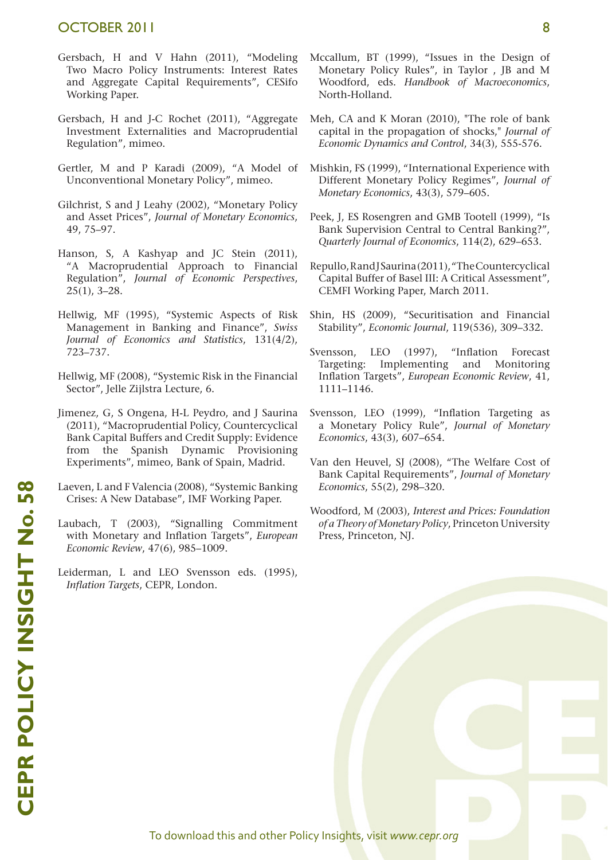## OCTOBER 2011 8

- Gersbach, H and V Hahn (2011), "Modeling Two Macro Policy Instruments: Interest Rates and Aggregate Capital Requirements", CESifo Working Paper.
- Gersbach, H and J-C Rochet (2011), "Aggregate Investment Externalities and Macroprudential Regulation", mimeo.
- Gertler, M and P Karadi (2009), "A Model of Unconventional Monetary Policy", mimeo.
- Gilchrist, S and J Leahy (2002), "Monetary Policy and Asset Prices", *Journal of Monetary Economics*, 49, 75–97.
- Hanson, S, A Kashyap and JC Stein (2011), "A Macroprudential Approach to Financial Regulation", *Journal of Economic Perspectives*, 25(1), 3–28.
- Hellwig, MF (1995), "Systemic Aspects of Risk Management in Banking and Finance", *Swiss Journal of Economics and Statistics*, 131(4/2), 723–737.
- Hellwig, MF (2008), "Systemic Risk in the Financial Sector", Jelle Zijlstra Lecture, 6.
- Jimenez, G, S Ongena, H-L Peydro, and J Saurina (2011), "Macroprudential Policy, Countercyclical Bank Capital Buffers and Credit Supply: Evidence from the Spanish Dynamic Provisioning Experiments", mimeo, Bank of Spain, Madrid.
- Laeven, L and F Valencia (2008), "Systemic Banking Crises: A New Database", IMF Working Paper.
- Laubach, T (2003), "Signalling Commitment with Monetary and Inflation Targets", *European Economic Review*, 47(6), 985–1009.
- Leiderman, L and LEO Svensson eds. (1995), *Inflation Targets*, CEPR, London.
- Mccallum, BT (1999), "Issues in the Design of Monetary Policy Rules", in Taylor , JB and M Woodford, eds. *Handbook of Macroeconomics*, North-Holland.
- Meh, CA and K Moran (2010), "The role of bank capital in the propagation of shocks," *Journal of Economic Dynamics and Control*, 34(3), 555-576.
- Mishkin, FS (1999), "International Experience with Different Monetary Policy Regimes", *Journal of Monetary Economics*, 43(3), 579–605.
- Peek, J, ES Rosengren and GMB Tootell (1999), "Is Bank Supervision Central to Central Banking?", *Quarterly Journal of Economics*, 114(2), 629–653.
- Repullo, R and J Saurina (2011), "The Countercyclical Capital Buffer of Basel III: A Critical Assessment", CEMFI Working Paper, March 2011.
- Shin, HS (2009), "Securitisation and Financial Stability", *Economic Journal*, 119(536), 309–332.
- Svensson, LEO (1997), "Inflation Forecast Targeting: Implementing and Monitoring Inflation Targets", *European Economic Review*, 41, 1111–1146.
- Svensson, LEO (1999), "Inflation Targeting as a Monetary Policy Rule", *Journal of Monetary Economics*, 43(3), 607–654.
- Van den Heuvel, SJ (2008), "The Welfare Cost of Bank Capital Requirements", *Journal of Monetary Economics*, 55(2), 298–320.
- Woodford, M (2003), *Interest and Prices: Foundation of a Theory of Monetary Policy*, Princeton University Press, Princeton, NJ.

To download this and other Policy Insights, visit *www.cepr.org*